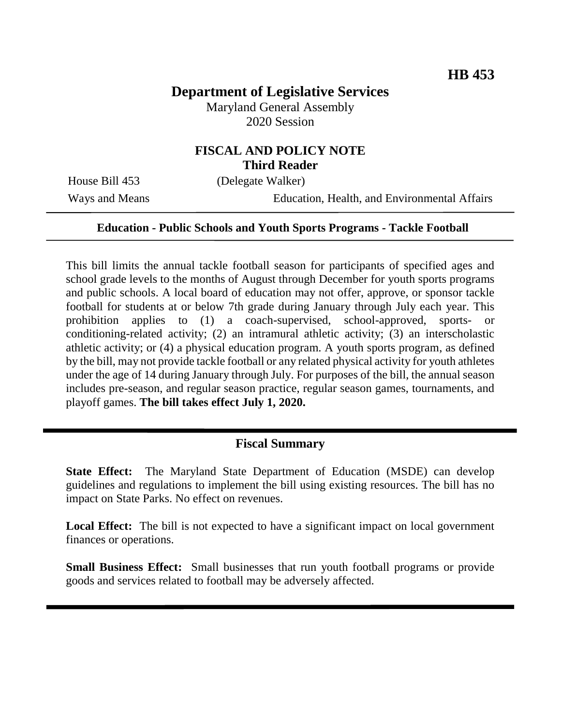# **Department of Legislative Services**

Maryland General Assembly 2020 Session

## **FISCAL AND POLICY NOTE Third Reader**

House Bill 453 (Delegate Walker)

Ways and Means Education, Health, and Environmental Affairs

#### **Education - Public Schools and Youth Sports Programs - Tackle Football**

This bill limits the annual tackle football season for participants of specified ages and school grade levels to the months of August through December for youth sports programs and public schools. A local board of education may not offer, approve, or sponsor tackle football for students at or below 7th grade during January through July each year. This prohibition applies to (1) a coach-supervised, school-approved, sports- or conditioning-related activity; (2) an intramural athletic activity; (3) an interscholastic athletic activity; or (4) a physical education program. A youth sports program, as defined by the bill, may not provide tackle football or any related physical activity for youth athletes under the age of 14 during January through July. For purposes of the bill, the annual season includes pre-season, and regular season practice, regular season games, tournaments, and playoff games. **The bill takes effect July 1, 2020.**

#### **Fiscal Summary**

**State Effect:** The Maryland State Department of Education (MSDE) can develop guidelines and regulations to implement the bill using existing resources. The bill has no impact on State Parks. No effect on revenues.

**Local Effect:** The bill is not expected to have a significant impact on local government finances or operations.

**Small Business Effect:** Small businesses that run youth football programs or provide goods and services related to football may be adversely affected.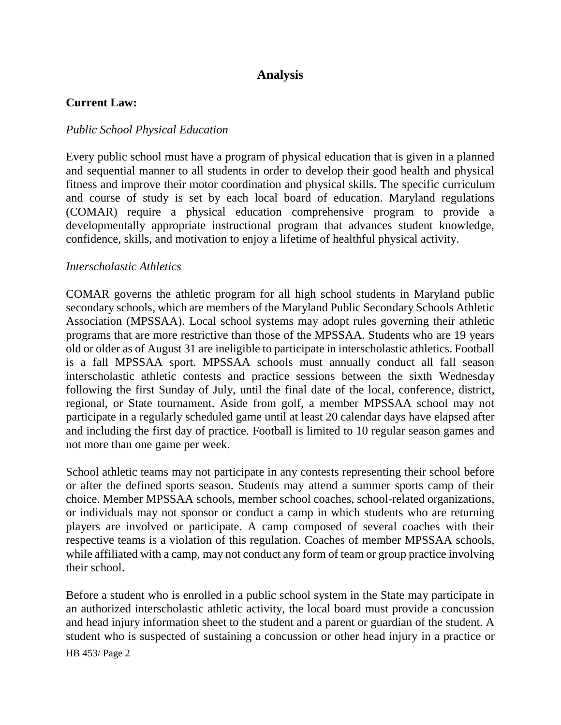## **Analysis**

#### **Current Law:**

#### *Public School Physical Education*

Every public school must have a program of physical education that is given in a planned and sequential manner to all students in order to develop their good health and physical fitness and improve their motor coordination and physical skills. The specific curriculum and course of study is set by each local board of education. Maryland regulations (COMAR) require a physical education comprehensive program to provide a developmentally appropriate instructional program that advances student knowledge, confidence, skills, and motivation to enjoy a lifetime of healthful physical activity.

#### *Interscholastic Athletics*

COMAR governs the athletic program for all high school students in Maryland public secondary schools, which are members of the Maryland Public Secondary Schools Athletic Association (MPSSAA). Local school systems may adopt rules governing their athletic programs that are more restrictive than those of the MPSSAA. Students who are 19 years old or older as of August 31 are ineligible to participate in interscholastic athletics. Football is a fall MPSSAA sport. MPSSAA schools must annually conduct all fall season interscholastic athletic contests and practice sessions between the sixth Wednesday following the first Sunday of July, until the final date of the local, conference, district, regional, or State tournament. Aside from golf, a member MPSSAA school may not participate in a regularly scheduled game until at least 20 calendar days have elapsed after and including the first day of practice. Football is limited to 10 regular season games and not more than one game per week.

School athletic teams may not participate in any contests representing their school before or after the defined sports season. Students may attend a summer sports camp of their choice. Member MPSSAA schools, member school coaches, school-related organizations, or individuals may not sponsor or conduct a camp in which students who are returning players are involved or participate. A camp composed of several coaches with their respective teams is a violation of this regulation. Coaches of member MPSSAA schools, while affiliated with a camp, may not conduct any form of team or group practice involving their school.

Before a student who is enrolled in a public school system in the State may participate in an authorized interscholastic athletic activity, the local board must provide a concussion and head injury information sheet to the student and a parent or guardian of the student. A student who is suspected of sustaining a concussion or other head injury in a practice or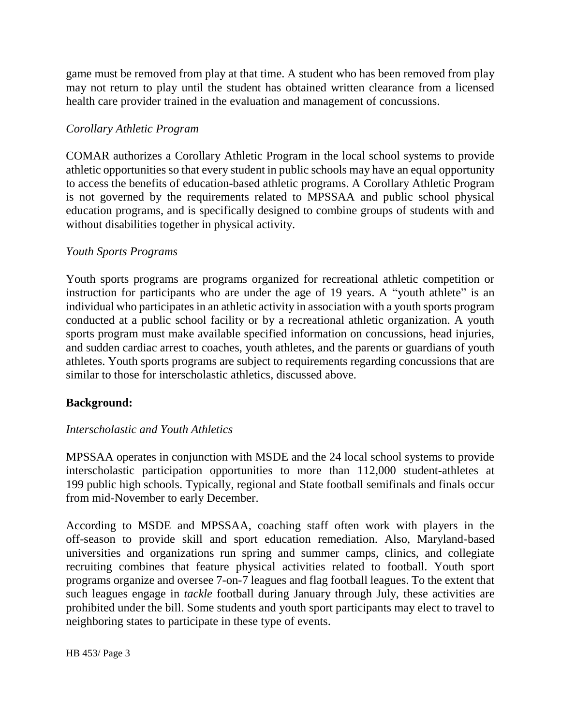game must be removed from play at that time. A student who has been removed from play may not return to play until the student has obtained written clearance from a licensed health care provider trained in the evaluation and management of concussions.

### *Corollary Athletic Program*

COMAR authorizes a Corollary Athletic Program in the local school systems to provide athletic opportunities so that every student in public schools may have an equal opportunity to access the benefits of education-based athletic programs. A Corollary Athletic Program is not governed by the requirements related to MPSSAA and public school physical education programs, and is specifically designed to combine groups of students with and without disabilities together in physical activity.

### *Youth Sports Programs*

Youth sports programs are programs organized for recreational athletic competition or instruction for participants who are under the age of 19 years. A "youth athlete" is an individual who participates in an athletic activity in association with a youth sports program conducted at a public school facility or by a recreational athletic organization. A youth sports program must make available specified information on concussions, head injuries, and sudden cardiac arrest to coaches, youth athletes, and the parents or guardians of youth athletes. Youth sports programs are subject to requirements regarding concussions that are similar to those for interscholastic athletics, discussed above.

## **Background:**

## *Interscholastic and Youth Athletics*

MPSSAA operates in conjunction with MSDE and the 24 local school systems to provide interscholastic participation opportunities to more than 112,000 student-athletes at 199 public high schools. Typically, regional and State football semifinals and finals occur from mid-November to early December.

According to MSDE and MPSSAA, coaching staff often work with players in the off-season to provide skill and sport education remediation. Also, Maryland-based universities and organizations run spring and summer camps, clinics, and collegiate recruiting combines that feature physical activities related to football. Youth sport programs organize and oversee 7-on-7 leagues and flag football leagues. To the extent that such leagues engage in *tackle* football during January through July, these activities are prohibited under the bill. Some students and youth sport participants may elect to travel to neighboring states to participate in these type of events.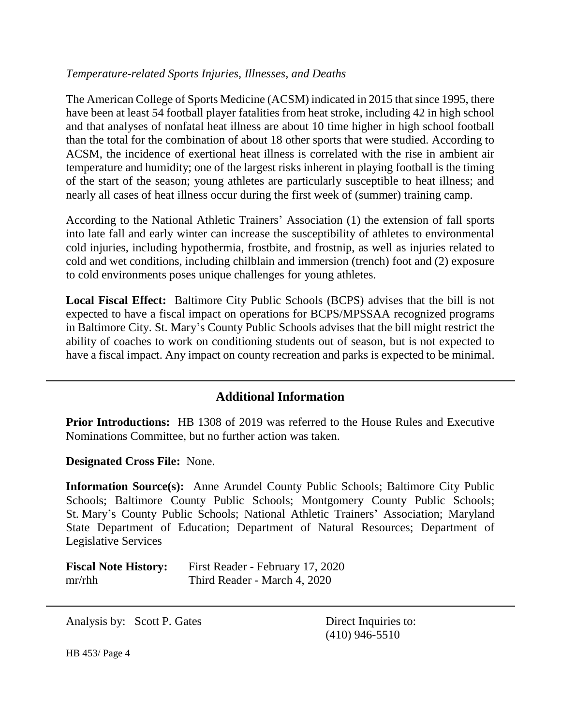### *Temperature-related Sports Injuries, Illnesses, and Deaths*

The American College of Sports Medicine (ACSM) indicated in 2015 that since 1995, there have been at least 54 football player fatalities from heat stroke, including 42 in high school and that analyses of nonfatal heat illness are about 10 time higher in high school football than the total for the combination of about 18 other sports that were studied. According to ACSM, the incidence of exertional heat illness is correlated with the rise in ambient air temperature and humidity; one of the largest risks inherent in playing football is the timing of the start of the season; young athletes are particularly susceptible to heat illness; and nearly all cases of heat illness occur during the first week of (summer) training camp.

According to the National Athletic Trainers' Association (1) the extension of fall sports into late fall and early winter can increase the susceptibility of athletes to environmental cold injuries, including hypothermia, frostbite, and frostnip, as well as injuries related to cold and wet conditions, including chilblain and immersion (trench) foot and (2) exposure to cold environments poses unique challenges for young athletes.

**Local Fiscal Effect:** Baltimore City Public Schools (BCPS) advises that the bill is not expected to have a fiscal impact on operations for BCPS/MPSSAA recognized programs in Baltimore City. St. Mary's County Public Schools advises that the bill might restrict the ability of coaches to work on conditioning students out of season, but is not expected to have a fiscal impact. Any impact on county recreation and parks is expected to be minimal.

## **Additional Information**

**Prior Introductions:** HB 1308 of 2019 was referred to the House Rules and Executive Nominations Committee, but no further action was taken.

**Designated Cross File:** None.

**Information Source(s):** Anne Arundel County Public Schools; Baltimore City Public Schools; Baltimore County Public Schools; Montgomery County Public Schools; St. Mary's County Public Schools; National Athletic Trainers' Association; Maryland State Department of Education; Department of Natural Resources; Department of Legislative Services

| <b>Fiscal Note History:</b> | First Reader - February 17, 2020 |
|-----------------------------|----------------------------------|
| mr/ r h h                   | Third Reader - March 4, 2020     |

Analysis by: Scott P. Gates Direct Inquiries to:

(410) 946-5510

HB 453/ Page 4